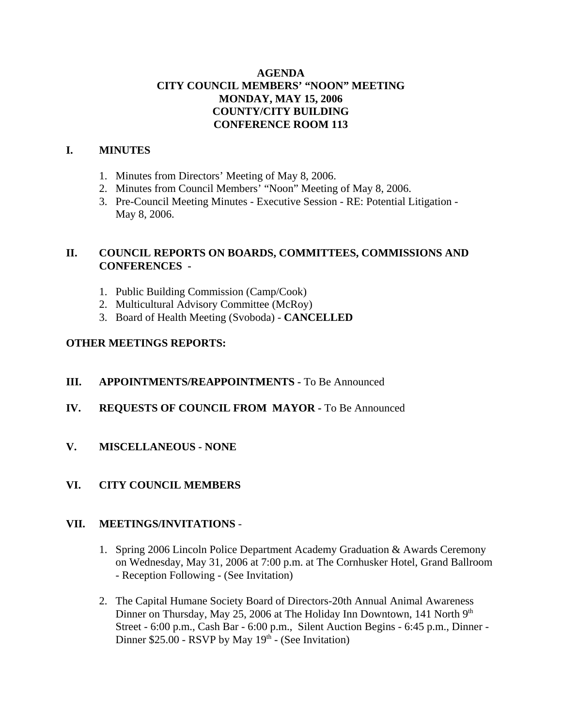# **AGENDA CITY COUNCIL MEMBERS' "NOON" MEETING MONDAY, MAY 15, 2006 COUNTY/CITY BUILDING CONFERENCE ROOM 113**

# **I. MINUTES**

- 1. Minutes from Directors' Meeting of May 8, 2006.
- 2. Minutes from Council Members' "Noon" Meeting of May 8, 2006.
- 3. Pre-Council Meeting Minutes Executive Session RE: Potential Litigation May 8, 2006.

# **II. COUNCIL REPORTS ON BOARDS, COMMITTEES, COMMISSIONS AND CONFERENCES -**

- 1. Public Building Commission (Camp/Cook)
- 2. Multicultural Advisory Committee (McRoy)
- 3. Board of Health Meeting (Svoboda) **CANCELLED**

# **OTHER MEETINGS REPORTS:**

- **III.** APPOINTMENTS/REAPPOINTMENTS To Be Announced
- **IV. REQUESTS OF COUNCIL FROM MAYOR -** To Be Announced
- **V. MISCELLANEOUS NONE**
- **VI. CITY COUNCIL MEMBERS**

## **VII. MEETINGS/INVITATIONS** -

- 1. Spring 2006 Lincoln Police Department Academy Graduation & Awards Ceremony on Wednesday, May 31, 2006 at 7:00 p.m. at The Cornhusker Hotel, Grand Ballroom - Reception Following - (See Invitation)
- 2. The Capital Humane Society Board of Directors-20th Annual Animal Awareness Dinner on Thursday, May 25, 2006 at The Holiday Inn Downtown, 141 North 9<sup>th</sup> Street - 6:00 p.m., Cash Bar - 6:00 p.m., Silent Auction Begins - 6:45 p.m., Dinner - Dinner  $$25.00$  - RSVP by May  $19<sup>th</sup>$  - (See Invitation)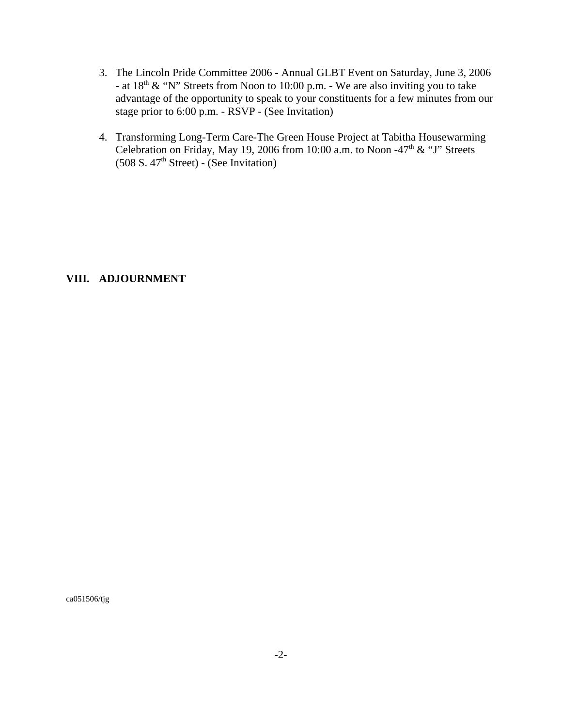- 3. The Lincoln Pride Committee 2006 Annual GLBT Event on Saturday, June 3, 2006 - at  $18<sup>th</sup>$  & "N" Streets from Noon to 10:00 p.m. - We are also inviting you to take advantage of the opportunity to speak to your constituents for a few minutes from our stage prior to 6:00 p.m. - RSVP - (See Invitation)
- 4. Transforming Long-Term Care-The Green House Project at Tabitha Housewarming Celebration on Friday, May 19, 2006 from 10:00 a.m. to Noon -47<sup>th</sup> & "J" Streets  $(508 S. 47<sup>th</sup> Street) - (See Invitation)$

# **VIII. ADJOURNMENT**

ca051506/tjg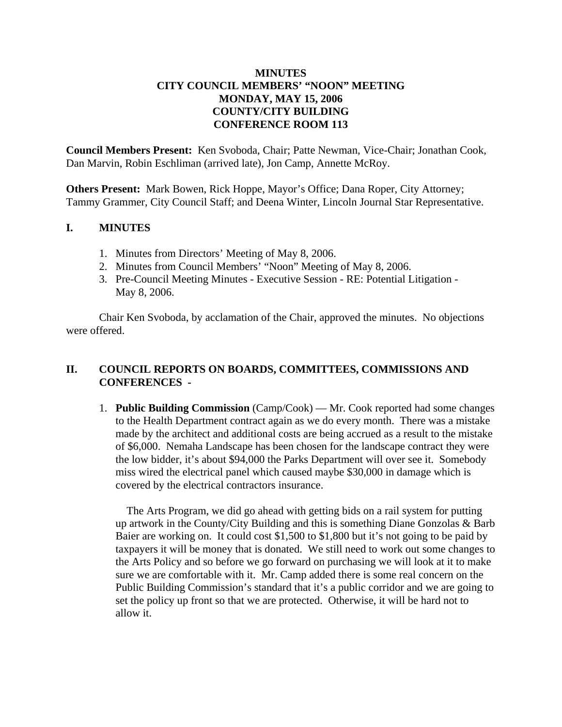# **MINUTES CITY COUNCIL MEMBERS' "NOON" MEETING MONDAY, MAY 15, 2006 COUNTY/CITY BUILDING CONFERENCE ROOM 113**

**Council Members Present:** Ken Svoboda, Chair; Patte Newman, Vice-Chair; Jonathan Cook, Dan Marvin, Robin Eschliman (arrived late), Jon Camp, Annette McRoy.

**Others Present:** Mark Bowen, Rick Hoppe, Mayor's Office; Dana Roper, City Attorney; Tammy Grammer, City Council Staff; and Deena Winter, Lincoln Journal Star Representative.

# **I. MINUTES**

- 1. Minutes from Directors' Meeting of May 8, 2006.
- 2. Minutes from Council Members' "Noon" Meeting of May 8, 2006.
- 3. Pre-Council Meeting Minutes Executive Session RE: Potential Litigation May 8, 2006.

Chair Ken Svoboda, by acclamation of the Chair, approved the minutes. No objections were offered.

# **II. COUNCIL REPORTS ON BOARDS, COMMITTEES, COMMISSIONS AND CONFERENCES -**

1. **Public Building Commission** (Camp/Cook) — Mr. Cook reported had some changes to the Health Department contract again as we do every month. There was a mistake made by the architect and additional costs are being accrued as a result to the mistake of \$6,000. Nemaha Landscape has been chosen for the landscape contract they were the low bidder, it's about \$94,000 the Parks Department will over see it. Somebody miss wired the electrical panel which caused maybe \$30,000 in damage which is covered by the electrical contractors insurance.

 The Arts Program, we did go ahead with getting bids on a rail system for putting up artwork in the County/City Building and this is something Diane Gonzolas & Barb Baier are working on. It could cost \$1,500 to \$1,800 but it's not going to be paid by taxpayers it will be money that is donated. We still need to work out some changes to the Arts Policy and so before we go forward on purchasing we will look at it to make sure we are comfortable with it. Mr. Camp added there is some real concern on the Public Building Commission's standard that it's a public corridor and we are going to set the policy up front so that we are protected. Otherwise, it will be hard not to allow it.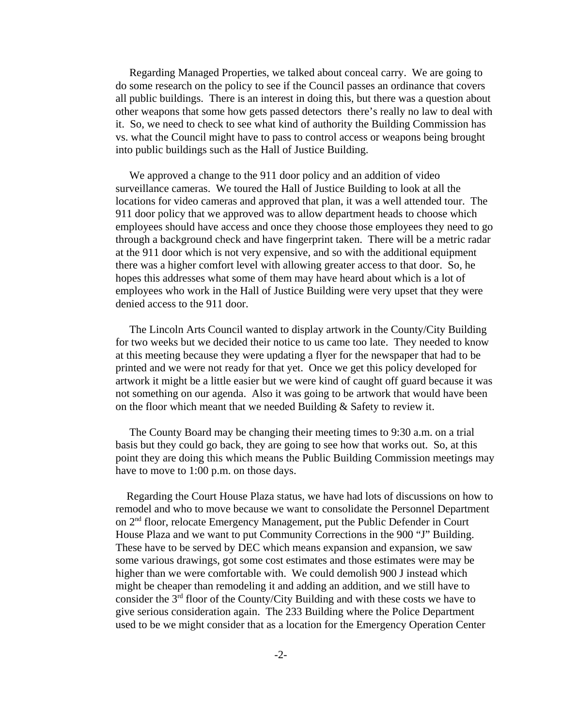Regarding Managed Properties, we talked about conceal carry. We are going to do some research on the policy to see if the Council passes an ordinance that covers all public buildings. There is an interest in doing this, but there was a question about other weapons that some how gets passed detectors there's really no law to deal with it. So, we need to check to see what kind of authority the Building Commission has vs. what the Council might have to pass to control access or weapons being brought into public buildings such as the Hall of Justice Building.

 We approved a change to the 911 door policy and an addition of video surveillance cameras. We toured the Hall of Justice Building to look at all the locations for video cameras and approved that plan, it was a well attended tour. The 911 door policy that we approved was to allow department heads to choose which employees should have access and once they choose those employees they need to go through a background check and have fingerprint taken. There will be a metric radar at the 911 door which is not very expensive, and so with the additional equipment there was a higher comfort level with allowing greater access to that door. So, he hopes this addresses what some of them may have heard about which is a lot of employees who work in the Hall of Justice Building were very upset that they were denied access to the 911 door.

 The Lincoln Arts Council wanted to display artwork in the County/City Building for two weeks but we decided their notice to us came too late. They needed to know at this meeting because they were updating a flyer for the newspaper that had to be printed and we were not ready for that yet. Once we get this policy developed for artwork it might be a little easier but we were kind of caught off guard because it was not something on our agenda. Also it was going to be artwork that would have been on the floor which meant that we needed Building & Safety to review it.

 The County Board may be changing their meeting times to 9:30 a.m. on a trial basis but they could go back, they are going to see how that works out. So, at this point they are doing this which means the Public Building Commission meetings may have to move to 1:00 p.m. on those days.

 Regarding the Court House Plaza status, we have had lots of discussions on how to remodel and who to move because we want to consolidate the Personnel Department on 2nd floor, relocate Emergency Management, put the Public Defender in Court House Plaza and we want to put Community Corrections in the 900 "J" Building. These have to be served by DEC which means expansion and expansion, we saw some various drawings, got some cost estimates and those estimates were may be higher than we were comfortable with. We could demolish 900 J instead which might be cheaper than remodeling it and adding an addition, and we still have to consider the  $3<sup>rd</sup>$  floor of the County/City Building and with these costs we have to give serious consideration again. The 233 Building where the Police Department used to be we might consider that as a location for the Emergency Operation Center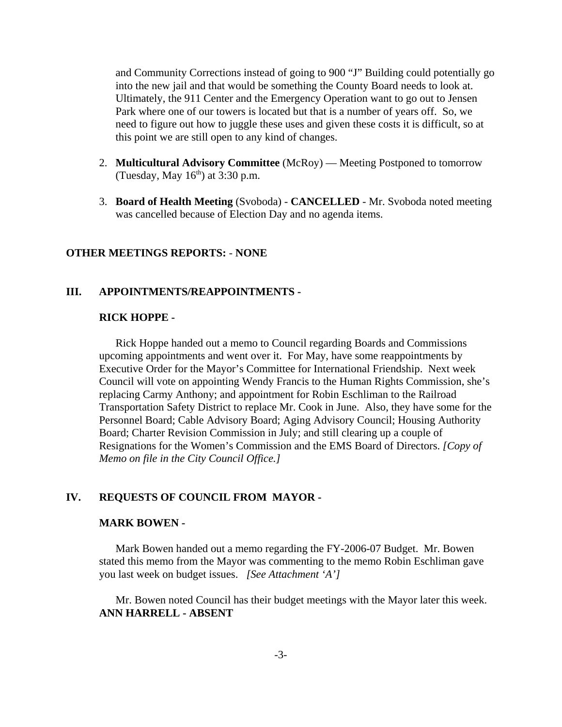and Community Corrections instead of going to 900 "J" Building could potentially go into the new jail and that would be something the County Board needs to look at. Ultimately, the 911 Center and the Emergency Operation want to go out to Jensen Park where one of our towers is located but that is a number of years off. So, we need to figure out how to juggle these uses and given these costs it is difficult, so at this point we are still open to any kind of changes.

- 2. **Multicultural Advisory Committee** (McRoy) Meeting Postponed to tomorrow (Tuesday, May  $16<sup>th</sup>$ ) at 3:30 p.m.
- 3. **Board of Health Meeting** (Svoboda) **CANCELLED** Mr. Svoboda noted meeting was cancelled because of Election Day and no agenda items.

## **OTHER MEETINGS REPORTS:** - **NONE**

### **III. APPOINTMENTS/REAPPOINTMENTS -**

### **RICK HOPPE -**

Rick Hoppe handed out a memo to Council regarding Boards and Commissions upcoming appointments and went over it. For May, have some reappointments by Executive Order for the Mayor's Committee for International Friendship. Next week Council will vote on appointing Wendy Francis to the Human Rights Commission, she's replacing Carmy Anthony; and appointment for Robin Eschliman to the Railroad Transportation Safety District to replace Mr. Cook in June. Also, they have some for the Personnel Board; Cable Advisory Board; Aging Advisory Council; Housing Authority Board; Charter Revision Commission in July; and still clearing up a couple of Resignations for the Women's Commission and the EMS Board of Directors. *[Copy of Memo on file in the City Council Office.]* 

## **IV. REQUESTS OF COUNCIL FROM MAYOR -**

#### **MARK BOWEN -**

Mark Bowen handed out a memo regarding the FY-2006-07 Budget. Mr. Bowen stated this memo from the Mayor was commenting to the memo Robin Eschliman gave you last week on budget issues. *[See Attachment 'A']* 

Mr. Bowen noted Council has their budget meetings with the Mayor later this week. **ANN HARRELL - ABSENT**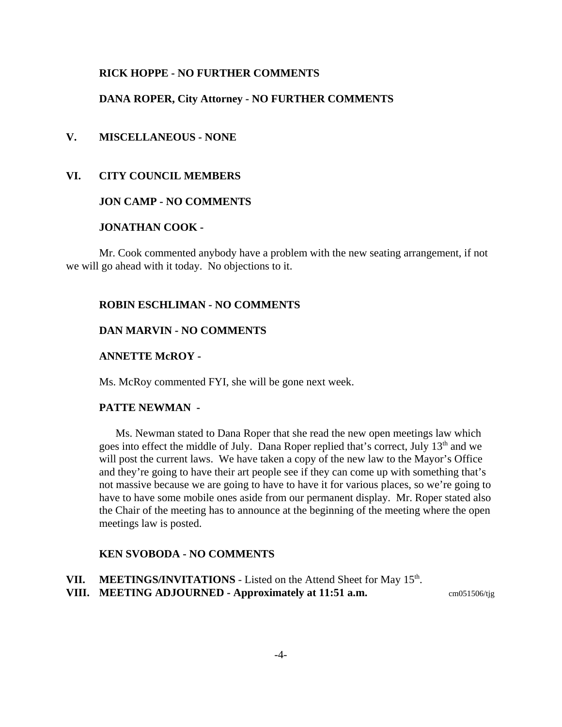#### **RICK HOPPE - NO FURTHER COMMENTS**

#### **DANA ROPER, City Attorney - NO FURTHER COMMENTS**

## **V. MISCELLANEOUS - NONE**

#### **VI. CITY COUNCIL MEMBERS**

## **JON CAMP - NO COMMENTS**

## **JONATHAN COOK -**

Mr. Cook commented anybody have a problem with the new seating arrangement, if not we will go ahead with it today. No objections to it.

## **ROBIN ESCHLIMAN - NO COMMENTS**

#### **DAN MARVIN - NO COMMENTS**

#### **ANNETTE McROY -**

Ms. McRoy commented FYI, she will be gone next week.

#### **PATTE NEWMAN -**

Ms. Newman stated to Dana Roper that she read the new open meetings law which goes into effect the middle of July. Dana Roper replied that's correct, July 13<sup>th</sup> and we will post the current laws. We have taken a copy of the new law to the Mayor's Office and they're going to have their art people see if they can come up with something that's not massive because we are going to have to have it for various places, so we're going to have to have some mobile ones aside from our permanent display. Mr. Roper stated also the Chair of the meeting has to announce at the beginning of the meeting where the open meetings law is posted.

#### **KEN SVOBODA - NO COMMENTS**

**VII.** MEETINGS/INVITATIONS - Listed on the Attend Sheet for May 15<sup>th</sup>.

**VIII.** MEETING ADJOURNED - Approximately at 11:51 a.m.  $cm051506/tig$